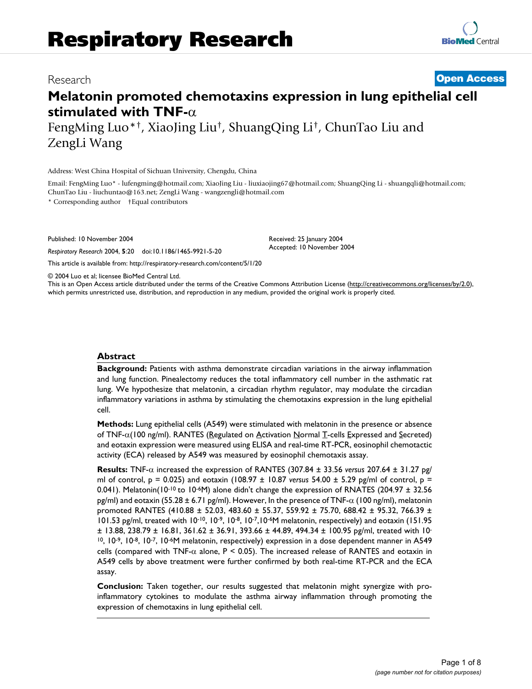## Research **[Open Access](http://www.biomedcentral.com/info/about/charter/)**

# **Melatonin promoted chemotaxins expression in lung epithelial cell stimulated with TNF-**α

FengMing Luo\*†, XiaoJing Liu†, ShuangQing Li†, ChunTao Liu and ZengLi Wang

Address: West China Hospital of Sichuan University, Chengdu, China

Email: FengMing Luo\* - lufengming@hotmail.com; XiaoJing Liu - liuxiaojing67@hotmail.com; ShuangQing Li - shuangqli@hotmail.com; ChunTao Liu - liuchuntao@163.net; ZengLi Wang - wangzengli@hotmail.com

\* Corresponding author †Equal contributors

Published: 10 November 2004

*Respiratory Research* 2004, **5**:20 doi:10.1186/1465-9921-5-20

Received: 25 January 2004 Accepted: 10 November 2004

[This article is available from: http://respiratory-research.com/content/5/1/20](http://respiratory-research.com/content/5/1/20)

© 2004 Luo et al; licensee BioMed Central Ltd.

This is an Open Access article distributed under the terms of the Creative Commons Attribution License [\(http://creativecommons.org/licenses/by/2.0\)](http://creativecommons.org/licenses/by/2.0), which permits unrestricted use, distribution, and reproduction in any medium, provided the original work is properly cited.

#### **Abstract**

**Background:** Patients with asthma demonstrate circadian variations in the airway inflammation and lung function. Pinealectomy reduces the total inflammatory cell number in the asthmatic rat lung. We hypothesize that melatonin, a circadian rhythm regulator, may modulate the circadian inflammatory variations in asthma by stimulating the chemotaxins expression in the lung epithelial cell.

**Methods:** Lung epithelial cells (A549) were stimulated with melatonin in the presence or absence of TNF-α(100 ng/ml). RANTES (Regulated on Activation Normal T-cells Expressed and Secreted) and eotaxin expression were measured using ELISA and real-time RT-PCR, eosinophil chemotactic activity (ECA) released by A549 was measured by eosinophil chemotaxis assay.

**Results:** TNF-α increased the expression of RANTES (307.84 ± 33.56 *versus* 207.64 ± 31.27 pg/ ml of control, p = 0.025) and eotaxin (108.97 ± 10.87 *versus* 54.00 ± 5.29 pg/ml of control, p = 0.041). Melatonin(10-10 to 10-6M) alone didn't change the expression of RNATES (204.97 ± 32.56 pg/ml) and eotaxin (55.28  $\pm$  6.71 pg/ml). However, In the presence of TNF- $\alpha$  (100 ng/ml), melatonin promoted RANTES (410.88 ± 52.03, 483.60 ± 55.37, 559.92 ± 75.70, 688.42 ± 95.32, 766.39 ± 101.53 pg/ml, treated with 10-10, 10-9, 10-8, 10-7,10-6M melatonin, respectively) and eotaxin (151.95 ± 13.88, 238.79 ± 16.81, 361.62 ± 36.91, 393.66 ± 44.89, 494.34 ± 100.95 pg/ml, treated with 10- 10, 10-9, 10-8, 10-7, 10-6M melatonin, respectively) expression in a dose dependent manner in A549 cells (compared with TNF- $\alpha$  alone, P < 0.05). The increased release of RANTES and eotaxin in A549 cells by above treatment were further confirmed by both real-time RT-PCR and the ECA assay.

**Conclusion:** Taken together, our results suggested that melatonin might synergize with proinflammatory cytokines to modulate the asthma airway inflammation through promoting the expression of chemotaxins in lung epithelial cell.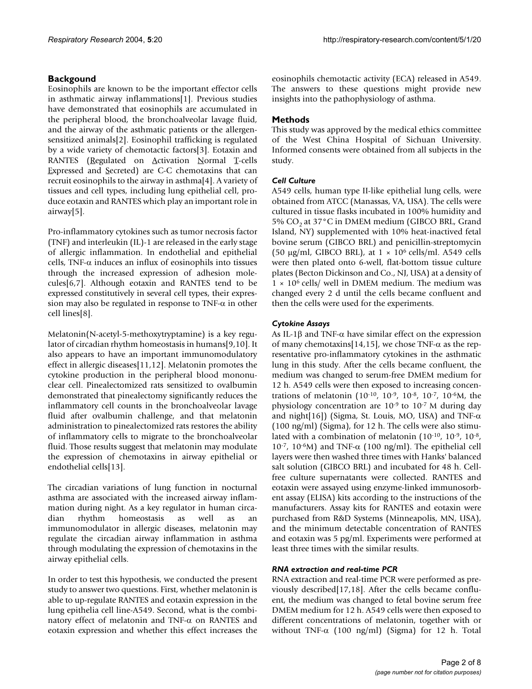## **Backgound**

Eosinophils are known to be the important effector cells in asthmatic airway inflammations[1]. Previous studies have demonstrated that eosinophils are accumulated in the peripheral blood, the bronchoalveolar lavage fluid, and the airway of the asthmatic patients or the allergensensitized animals[2]. Eosinophil trafficking is regulated by a wide variety of chemotactic factors[3]. Eotaxin and RANTES (Regulated on Activation Normal T-cells Expressed and Secreted) are C-C chemotaxins that can recruit eosinophils to the airway in asthma[4]. A variety of tissues and cell types, including lung epithelial cell, produce eotaxin and RANTES which play an important role in airway[5].

Pro-inflammatory cytokines such as tumor necrosis factor (TNF) and interleukin (IL)-1 are released in the early stage of allergic inflammation. In endothelial and epithelial cells, TNF- $\alpha$  induces an influx of eosinophils into tissues through the increased expression of adhesion molecules[6,7]. Although eotaxin and RANTES tend to be expressed constitutively in several cell types, their expression may also be regulated in response to TNF- $\alpha$  in other cell lines[8].

Melatonin(N-acetyl-5-methoxytryptamine) is a key regulator of circadian rhythm homeostasis in humans[9,10]. It also appears to have an important immunomodulatory effect in allergic diseases[11,12]. Melatonin promotes the cytokine production in the peripheral blood mononuclear cell. Pinealectomized rats sensitized to ovalbumin demonstrated that pinealectomy significantly reduces the inflammatory cell counts in the bronchoalveolar lavage fluid after ovalbumin challenge, and that melatonin administration to pinealectomized rats restores the ability of inflammatory cells to migrate to the bronchoalveolar fluid. Those results suggest that melatonin may modulate the expression of chemotaxins in airway epithelial or endothelial cells[13].

The circadian variations of lung function in nocturnal asthma are associated with the increased airway inflammation during night. As a key regulator in human circadian rhythm homeostasis as well as an immunomodulator in allergic diseases, melatonin may regulate the circadian airway inflammation in asthma through modulating the expression of chemotaxins in the airway epithelial cells.

In order to test this hypothesis, we conducted the present study to answer two questions. First, whether melatonin is able to up-regulate RANTES and eotaxin expression in the lung epithelia cell line-A549. Second, what is the combinatory effect of melatonin and TNF-α on RANTES and eotaxin expression and whether this effect increases the eosinophils chemotactic activity (ECA) released in A549. The answers to these questions might provide new insights into the pathophysiology of asthma.

## **Methods**

This study was approved by the medical ethics committee of the West China Hospital of Sichuan University. Informed consents were obtained from all subjects in the study.

## *Cell Culture*

A549 cells, human type II-like epithelial lung cells, were obtained from ATCC (Manassas, VA, USA). The cells were cultured in tissue flasks incubated in 100% humidity and 5%  $CO<sub>2</sub>$  at 37°C in DMEM medium (GIBCO BRL, Grand Island, NY) supplemented with 10% heat-inactived fetal bovine serum (GIBCO BRL) and penicillin-streptomycin (50 µg/ml, GIBCO BRL), at  $1 \times 10^6$  cells/ml. A549 cells were then plated onto 6-well, flat-bottom tissue culture plates (Becton Dickinson and Co., NJ, USA) at a density of  $1 \times 10^6$  cells/ well in DMEM medium. The medium was changed every 2 d until the cells became confluent and then the cells were used for the experiments.

## *Cytokine Assays*

As IL-1β and TNF-α have similar effect on the expression of many chemotaxins[14,15], we chose TNF- $\alpha$  as the representative pro-inflammatory cytokines in the asthmatic lung in this study. After the cells became confluent, the medium was changed to serum-free DMEM medium for 12 h. A549 cells were then exposed to increasing concentrations of melatonin (10-10, 10-9, 10-8, 10-7, 10-6M, the physiology concentration are 10-9 to 10-7 M during day and night[16]) (Sigma, St. Louis, MO, USA) and TNF- $\alpha$ (100 ng/ml) (Sigma), for 12 h. The cells were also stimulated with a combination of melatonin (10-10, 10-9, 10-8, 10<sup>-7</sup>, 10<sup>-6</sup>M) and TNF- $\alpha$  (100 ng/ml). The epithelial cell layers were then washed three times with Hanks' balanced salt solution (GIBCO BRL) and incubated for 48 h. Cellfree culture supernatants were collected. RANTES and eotaxin were assayed using enzyme-linked immunosorbent assay (ELISA) kits according to the instructions of the manufacturers. Assay kits for RANTES and eotaxin were purchased from R&D Systems (Minneapolis, MN, USA), and the minimum detectable concentration of RANTES and eotaxin was 5 pg/ml. Experiments were performed at least three times with the similar results.

#### *RNA extraction and real-time PCR*

RNA extraction and real-time PCR were performed as previously described[17,18]. After the cells became confluent, the medium was changed to fetal bovine serum free DMEM medium for 12 h. A549 cells were then exposed to different concentrations of melatonin, together with or without TNF- $\alpha$  (100 ng/ml) (Sigma) for 12 h. Total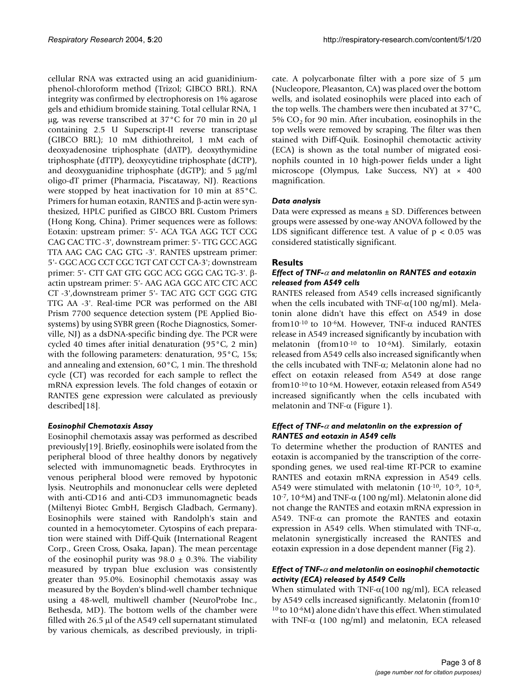cellular RNA was extracted using an acid guanidiniumphenol-chloroform method (Trizol; GIBCO BRL). RNA integrity was confirmed by electrophoresis on 1% agarose gels and ethidium bromide staining. Total cellular RNA, 1 µg, was reverse transcribed at 37°C for 70 min in 20 µl containing 2.5 U Superscript-II reverse transcriptase (GIBCO BRL); 10 mM dithiothreitol, 1 mM each of deoxyadenosine triphosphate (dATP), deoxythymidine triphosphate (dTTP), deoxycytidine triphosphate (dCTP), and deoxyguanidine triphosphate (dGTP); and 5 µg/ml oligo-dT primer (Pharmacia, Piscataway, NJ). Reactions were stopped by heat inactivation for 10 min at 85°C. Primers for human eotaxin, RANTES and β-actin were synthesized, HPLC purified as GIBCO BRL Custom Primers (Hong Kong, China). Primer sequences were as follows: Eotaxin: upstream primer: 5'- ACA TGA AGG TCT CCG CAG CAC TTC -3', downstream primer: 5'- TTG GCC AGG TTA AAG CAG CAG GTG -3'. RANTES upstream primer: 5'- GGC ACG CCT CGC TGT CAT CCT CA-3'; downstream primer: 5'- CTT GAT GTG GGC ACG GGG CAG TG-3'. βactin upstream primer: 5'- AAG AGA GGC ATC CTC ACC CT -3',downstream primer 5'- TAC ATG GCT GGG GTG TTG AA -3'. Real-time PCR was performed on the ABI Prism 7700 sequence detection system (PE Applied Biosystems) by using SYBR green (Roche Diagnostics, Somerville, NJ) as a dsDNA-specific binding dye. The PCR were cycled 40 times after initial denaturation (95°C, 2 min) with the following parameters: denaturation, 95°C, 15s; and annealing and extension, 60°C, 1 min. The threshold cycle (CT) was recorded for each sample to reflect the mRNA expression levels. The fold changes of eotaxin or RANTES gene expression were calculated as previously described[18].

#### *Eosinophil Chemotaxis Assay*

Eosinophil chemotaxis assay was performed as described previously[19]. Briefly, eosinophils were isolated from the peripheral blood of three healthy donors by negatively selected with immunomagnetic beads. Erythrocytes in venous peripheral blood were removed by hypotonic lysis. Neutrophils and mononuclear cells were depleted with anti-CD16 and anti-CD3 immunomagnetic beads (Miltenyi Biotec GmbH, Bergisch Gladbach, Germany). Eosinophils were stained with Randolph's stain and counted in a hemocytometer. Cytospins of each preparation were stained with Diff-Quik (International Reagent Corp., Green Cross, Osaka, Japan). The mean percentage of the eosinophil purity was  $98.0 \pm 0.3$ %. The viability measured by trypan blue exclusion was consistently greater than 95.0%. Eosinophil chemotaxis assay was measured by the Boyden's blind-well chamber technique using a 48-well, multiwell chamber (NeuroProbe Inc., Bethesda, MD). The bottom wells of the chamber were filled with 26.5 µl of the A549 cell supernatant stimulated by various chemicals, as described previously, in triplicate. A polycarbonate filter with a pore size of  $5 \mu m$ (Nucleopore, Pleasanton, CA) was placed over the bottom wells, and isolated eosinophils were placed into each of the top wells. The chambers were then incubated at 37°C, 5%  $CO<sub>2</sub>$  for 90 min. After incubation, eosinophils in the top wells were removed by scraping. The filter was then stained with Diff-Quik. Eosinophil chemotactic activity (ECA) is shown as the total number of migrated eosinophils counted in 10 high-power fields under a light microscope (Olympus, Lake Success, NY) at × 400 magnification.

## *Data analysis*

Data were expressed as means ± SD. Differences between groups were assessed by one-way ANOVA followed by the LDS significant difference test. A value of  $p < 0.05$  was considered statistically significant.

## **Results**

#### *Effect of TNF-*α *and melatonlin on RANTES and eotaxin released from A549 cells*

RANTES released from A549 cells increased significantly when the cells incubated with TNF- $\alpha$ (100 ng/ml). Melatonin alone didn't have this effect on A549 in dose from10<sup>-10</sup> to 10<sup>-6</sup>M. However, TNF- $\alpha$  induced RANTES release in A549 increased significantly by incubation with melatonin (from10-10 to 10-6M). Similarly, eotaxin released from A549 cells also increased significantly when the cells incubated with TNF-α; Melatonin alone had no effect on eotaxin released from A549 at dose range from10-10 to 10-6M. However, eotaxin released from A549 increased significantly when the cells incubated with melatonin and TNF- $\alpha$  (Figure [1](#page-3-0)).

## *Effect of TNF-*α *and melatonlin on the expression of RANTES and eotaxin in A549 cells*

To determine whether the production of RANTES and eotaxin is accompanied by the transcription of the corresponding genes, we used real-time RT-PCR to examine RANTES and eotaxin mRNA expression in A549 cells. A549 were stimulated with melatonin (10<sup>-10</sup>, 10<sup>-9</sup>, 10<sup>-8</sup>, 10<sup>-7</sup>, 10<sup>-6</sup>M) and TNF- $\alpha$  (100 ng/ml). Melatonin alone did not change the RANTES and eotaxin mRNA expression in A549. TNF- $\alpha$  can promote the RANTES and eotaxin expression in A549 cells. When stimulated with TNF- $\alpha$ , melatonin synergistically increased the RANTES and eotaxin expression in a dose dependent manner (Fig [2\)](#page-4-0).

#### *Effect of TNF-*α *and melatonlin on eosinophil chemotactic activity (ECA) released by A549 Cells*

When stimulated with TNF- $\alpha$ (100 ng/ml), ECA released by A549 cells increased significantly. Melatonin (from10- 10 to 10-6M) alone didn't have this effect. When stimulated with TNF- $\alpha$  (100 ng/ml) and melatonin, ECA released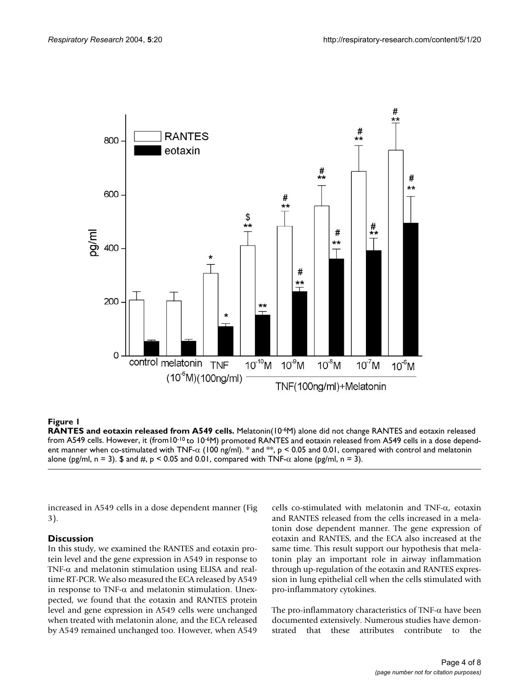<span id="page-3-0"></span>

## **Figure 1**

RANTES and eotaxin released from A549 cells. Melatonin(10<sup>-6</sup>M) alone did not change RANTES and eotaxin released from A549 cells. However, it (from10<sup>-10</sup> to 10<sup>-6</sup>M) promoted RANTES and eotaxin released from A549 cells in a dose dependent manner when co-stimulated with TNF- $\alpha$  (100 ng/ml). \* and  $**$ , p < 0.05 and 0.01, compared with control and melatonin alone (pg/ml, n = 3). \$ and #, p < 0.05 and 0.01, compared with TNF- $\alpha$  alone (pg/ml, n = 3).

increased in A549 cells in a dose dependent manner (Fig 3).

## **Discussion**

In this study, we examined the RANTES and eotaxin protein level and the gene expression in A549 in response to TNF- $\alpha$  and melatonin stimulation using ELISA and realtime RT-PCR. We also measured the ECA released by A549 in response to TNF- $\alpha$  and melatonin stimulation. Unexpected, we found that the eotaxin and RANTES protein level and gene expression in A549 cells were unchanged when treated with melatonin alone, and the ECA released by A549 remained unchanged too. However, when A549

cells co-stimulated with melatonin and TNF-α, eotaxin and RANTES released from the cells increased in a melatonin dose dependent manner. The gene expression of eotaxin and RANTES, and the ECA also increased at the same time. This result support our hypothesis that melatonin play an important role in airway inflammation through up-regulation of the eotaxin and RANTES expression in lung epithelial cell when the cells stimulated with pro-inflammatory cytokines.

The pro-inflammatory characteristics of TNF-α have been documented extensively. Numerous studies have demonstrated that these attributes contribute to the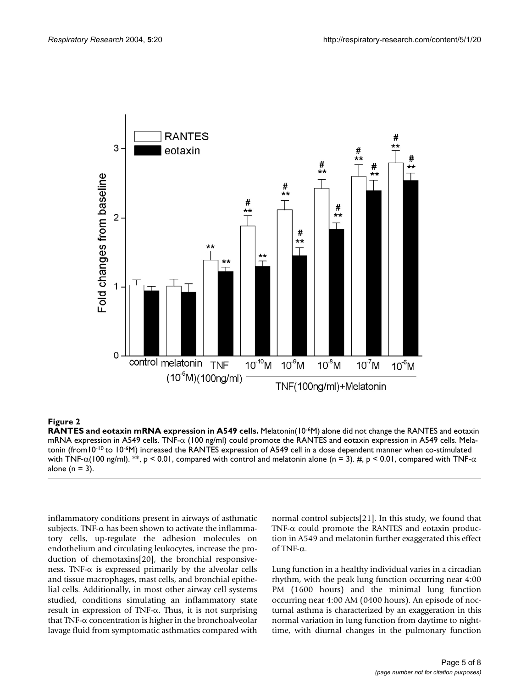<span id="page-4-0"></span>

## **Figure 2**

**RANTES and eotaxin mRNA expression in A549 cells.** Melatonin(10-6M) alone did not change the RANTES and eotaxin mRNA expression in A549 cells. TNF- $α$  (100 ng/ml) could promote the RANTES and eotaxin expression in A549 cells. Melatonin (from10-10 to 10-6M) increased the RANTES expression of A549 cell in a dose dependent manner when co-stimulated with TNF- $\alpha$ (100 ng/ml). \*\*, p < 0.01, compared with control and melatonin alone (n = 3). #, p < 0.01, compared with TNF- $\alpha$ alone ( $n = 3$ ).

inflammatory conditions present in airways of asthmatic subjects. TNF- $\alpha$  has been shown to activate the inflammatory cells, up-regulate the adhesion molecules on endothelium and circulating leukocytes, increase the production of chemotaxins[20], the bronchial responsiveness. TNF- $\alpha$  is expressed primarily by the alveolar cells and tissue macrophages, mast cells, and bronchial epithelial cells. Additionally, in most other airway cell systems studied, conditions simulating an inflammatory state result in expression of TNF-α. Thus, it is not surprising that TNF-α concentration is higher in the bronchoalveolar lavage fluid from symptomatic asthmatics compared with

normal control subjects[21]. In this study, we found that TNF- $\alpha$  could promote the RANTES and eotaxin production in A549 and melatonin further exaggerated this effect of TNF-α.

Lung function in a healthy individual varies in a circadian rhythm, with the peak lung function occurring near 4:00 PM (1600 hours) and the minimal lung function occurring near 4:00 AM (0400 hours). An episode of nocturnal asthma is characterized by an exaggeration in this normal variation in lung function from daytime to nighttime, with diurnal changes in the pulmonary function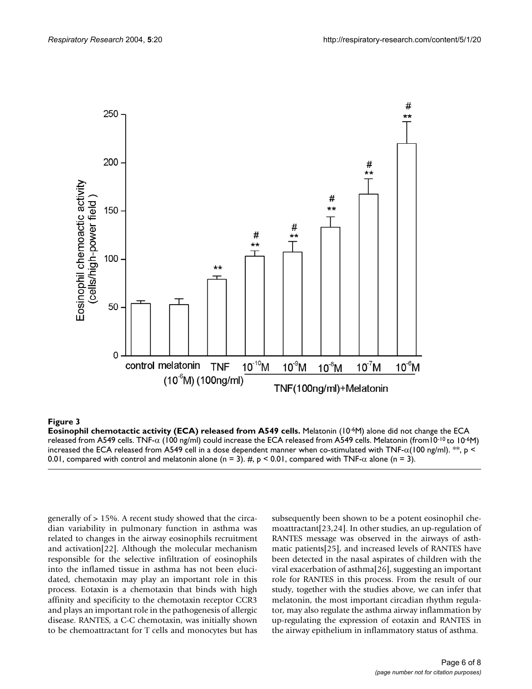

#### **Figure 3**

**Eosinophil chemotactic activity (ECA) released from A549 cells.** Melatonin (10-6M) alone did not change the ECA released from A549 cells. TNF- $\alpha$  (100 ng/ml) could increase the ECA released from A549 cells. Melatonin (from10<sup>-10</sup> to 10<sup>-6</sup>M) increased the ECA released from A549 cell in a dose dependent manner when co-stimulated with TNF- $\alpha(100 \text{ ng/ml})$ . \*\*, p < 0.01, compared with control and melatonin alone (n = 3). #,  $p < 0.01$ , compared with TNF- $\alpha$  alone (n = 3).

generally of > 15%. A recent study showed that the circadian variability in pulmonary function in asthma was related to changes in the airway eosinophils recruitment and activation[22]. Although the molecular mechanism responsible for the selective infiltration of eosinophils into the inflamed tissue in asthma has not been elucidated, chemotaxin may play an important role in this process. Eotaxin is a chemotaxin that binds with high affinity and specificity to the chemotaxin receptor CCR3 and plays an important role in the pathogenesis of allergic disease. RANTES, a C-C chemotaxin, was initially shown to be chemoattractant for T cells and monocytes but has

subsequently been shown to be a potent eosinophil chemoattractant[23,24]. In other studies, an up-regulation of RANTES message was observed in the airways of asthmatic patients[25], and increased levels of RANTES have been detected in the nasal aspirates of children with the viral exacerbation of asthma[26], suggesting an important role for RANTES in this process. From the result of our study, together with the studies above, we can infer that melatonin, the most important circadian rhythm regulator, may also regulate the asthma airway inflammation by up-regulating the expression of eotaxin and RANTES in the airway epithelium in inflammatory status of asthma.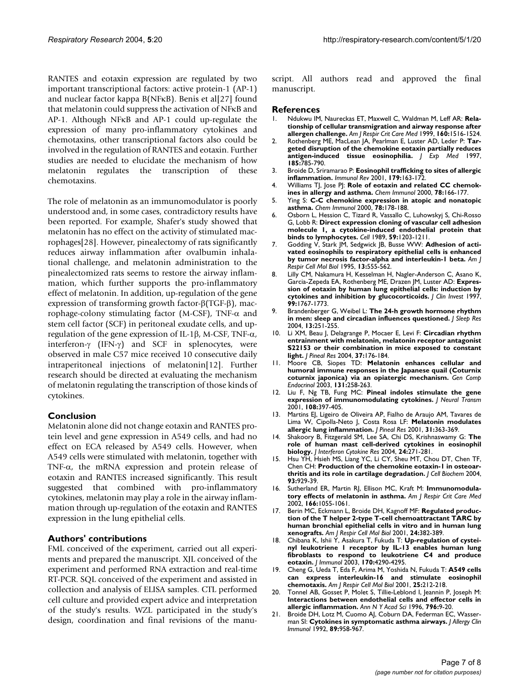RANTES and eotaxin expression are regulated by two important transcriptional factors: active protein-1 (AP-1) and nuclear factor kappa B(NFκB). Benis et al[27] found that melatonin could suppress the activation of NFκB and AP-1. Although NFκB and AP-1 could up-regulate the expression of many pro-inflammatory cytokines and chemotaxins, other transcriptional factors also could be involved in the regulation of RANTES and eotaxin. Further studies are needed to elucidate the mechanism of how melatonin regulates the transcription of these chemotaxins.

The role of melatonin as an immunomodulator is poorly understood and, in some cases, contradictory results have been reported. For example, Shafer's study showed that melatonin has no effect on the activity of stimulated macrophages[28]. However, pinealectomy of rats significantly reduces airway inflammation after ovalbumin inhalational challenge, and melatonin administration to the pinealectomized rats seems to restore the airway inflammation, which further supports the pro-inflammatory effect of melatonin. In addition, up-regulation of the gene expression of transforming growth factor-β(TGF-β), macrophage-colony stimulating factor (M-CSF), TNF- $α$  and stem cell factor (SCF) in peritoneal exudate cells, and upregulation of the gene expression of IL-1β, M-CSF, TNF-α, interferon-γ (IFN-γ) and SCF in splenocytes, were observed in male C57 mice received 10 consecutive daily intraperitoneal injections of melatonin[12]. Further research should be directed at evaluating the mechanism of melatonin regulating the transcription of those kinds of cytokines.

#### **Conclusion**

Melatonin alone did not change eotaxin and RANTES protein level and gene expression in A549 cells, and had no effect on ECA released by A549 cells. However, when A549 cells were stimulated with melatonin, together with TNF-α, the mRNA expression and protein release of eotaxin and RANTES increased significantly. This result suggested that combined with pro-inflammatory cytokines, melatonin may play a role in the airway inflammation through up-regulation of the eotaxin and RANTES expression in the lung epithelial cells.

#### **Authors' contributions**

FML conceived of the experiment, carried out all experiments and prepared the manuscript. XJL conceived of the experiment and performed RNA extraction and real-time RT-PCR. SQL conceived of the experiment and assisted in collection and analysis of ELISA samples. CTL performed cell culture and provided expert advice and interpretation of the study's results. WZL participated in the study's design, coordination and final revisions of the manuscript. All authors read and approved the final manuscript.

#### **References**

- 1. Ndukwu IM, Naureckas ET, Maxwell C, Waldman M, Leff AR: **[Rela](http://www.ncbi.nlm.nih.gov/entrez/query.fcgi?cmd=Retrieve&db=PubMed&dopt=Abstract&list_uids=10556114)[tionship of cellular transmigration and airway response after](http://www.ncbi.nlm.nih.gov/entrez/query.fcgi?cmd=Retrieve&db=PubMed&dopt=Abstract&list_uids=10556114) [allergen challenge.](http://www.ncbi.nlm.nih.gov/entrez/query.fcgi?cmd=Retrieve&db=PubMed&dopt=Abstract&list_uids=10556114)** *Am J Respir Crit Care Med* 1999, **160:**1516-1524.
- 2. Rothenberg ME, MacLean JA, Pearlman E, Luster AD, Leder P: **[Tar](http://www.ncbi.nlm.nih.gov/entrez/query.fcgi?cmd=Retrieve&db=PubMed&dopt=Abstract&list_uids=9034156)[geted disruption of the chemokine eotaxin partially reduces](http://www.ncbi.nlm.nih.gov/entrez/query.fcgi?cmd=Retrieve&db=PubMed&dopt=Abstract&list_uids=9034156) [antigen-induced tissue eosinophilia.](http://www.ncbi.nlm.nih.gov/entrez/query.fcgi?cmd=Retrieve&db=PubMed&dopt=Abstract&list_uids=9034156)** *J Exp Med* 1997, **185:**785-790.
- 3. Broide D, Sriramarao P: **[Eosinophil trafficking to sites of allergic](http://www.ncbi.nlm.nih.gov/entrez/query.fcgi?cmd=Retrieve&db=PubMed&dopt=Abstract&list_uids=11292020) [inflammation.](http://www.ncbi.nlm.nih.gov/entrez/query.fcgi?cmd=Retrieve&db=PubMed&dopt=Abstract&list_uids=11292020)** *Immunol Rev* 2001, **179:**163-172.
- 4. Williams TJ, Jose PJ: [Role of eotaxin and related CC chemok](http://www.ncbi.nlm.nih.gov/entrez/query.fcgi?cmd=Retrieve&db=PubMed&dopt=Abstract&list_uids=12847728)**[ines in allergy and asthma.](http://www.ncbi.nlm.nih.gov/entrez/query.fcgi?cmd=Retrieve&db=PubMed&dopt=Abstract&list_uids=12847728)** *Chem Immunol* 2000, **78:**166-177.
- 5. Ying S: **[C-C chemokine expression in atopic and nonatopic](http://www.ncbi.nlm.nih.gov/entrez/query.fcgi?cmd=Retrieve&db=PubMed&dopt=Abstract&list_uids=12847729) [asthma.](http://www.ncbi.nlm.nih.gov/entrez/query.fcgi?cmd=Retrieve&db=PubMed&dopt=Abstract&list_uids=12847729)** *Chem Immunol* 2000, **78:**178-188.
- 6. Osborn L, Hession C, Tizard R, Vassallo C, Luhowskyj S, Chi-Rosso G, Lobb R: **[Direct expression cloning of vascular cell adhesion](http://www.ncbi.nlm.nih.gov/entrez/query.fcgi?cmd=Retrieve&db=PubMed&dopt=Abstract&list_uids=2688898) [molecule 1, a cytokine-induced endothelial protein that](http://www.ncbi.nlm.nih.gov/entrez/query.fcgi?cmd=Retrieve&db=PubMed&dopt=Abstract&list_uids=2688898) [binds to lymphocytes.](http://www.ncbi.nlm.nih.gov/entrez/query.fcgi?cmd=Retrieve&db=PubMed&dopt=Abstract&list_uids=2688898)** *Cell* 1989, **59:**1203-1211.
- 7. Godding V, Stark JM, Sedgwick JB, Busse WW: **[Adhesion of acti](http://www.ncbi.nlm.nih.gov/entrez/query.fcgi?cmd=Retrieve&db=PubMed&dopt=Abstract&list_uids=7576691)[vated eosinophils to respiratory epithelial cells is enhanced](http://www.ncbi.nlm.nih.gov/entrez/query.fcgi?cmd=Retrieve&db=PubMed&dopt=Abstract&list_uids=7576691) [by tumor necrosis factor-alpha and interleukin-1 beta.](http://www.ncbi.nlm.nih.gov/entrez/query.fcgi?cmd=Retrieve&db=PubMed&dopt=Abstract&list_uids=7576691)** *Am J Respir Cell Mol Biol* 1995, **13:**555-562.
- 8. Lilly CM, Nakamura H, Kesselman H, Nagler-Anderson C, Asano K, Garcia-Zepeda EA, Rothenberg ME, Drazen JM, Luster AD: **[Expres](http://www.ncbi.nlm.nih.gov/entrez/query.fcgi?cmd=Retrieve&db=PubMed&dopt=Abstract&list_uids=9120022)[sion of eotaxin by human lung epithelial cells: induction by](http://www.ncbi.nlm.nih.gov/entrez/query.fcgi?cmd=Retrieve&db=PubMed&dopt=Abstract&list_uids=9120022) [cytokines and inhibition by glucocorticoids.](http://www.ncbi.nlm.nih.gov/entrez/query.fcgi?cmd=Retrieve&db=PubMed&dopt=Abstract&list_uids=9120022)** *J Clin Invest* 1997, **99:**1767-1773.
- 9. Brandenberger G, Weibel L: **[The 24-h growth hormone rhythm](http://www.ncbi.nlm.nih.gov/entrez/query.fcgi?cmd=Retrieve&db=PubMed&dopt=Abstract&list_uids=15339260) [in men: sleep and circadian influences questioned.](http://www.ncbi.nlm.nih.gov/entrez/query.fcgi?cmd=Retrieve&db=PubMed&dopt=Abstract&list_uids=15339260)** *J Sleep Res* 2004, **13:**251-255.
- 10. Li XM, Beau J, Delagrange P, Mocaer E, Levi F: **[Circadian rhythm](http://www.ncbi.nlm.nih.gov/entrez/query.fcgi?cmd=Retrieve&db=PubMed&dopt=Abstract&list_uids=15357662) [entrainment with melatonin, melatonin receptor antagonist](http://www.ncbi.nlm.nih.gov/entrez/query.fcgi?cmd=Retrieve&db=PubMed&dopt=Abstract&list_uids=15357662) S22153 or their combination in mice exposed to constant [light.](http://www.ncbi.nlm.nih.gov/entrez/query.fcgi?cmd=Retrieve&db=PubMed&dopt=Abstract&list_uids=15357662)** *J Pineal Res* 2004, **37:**176-184.
- 11. Moore CB, Siopes TD: **[Melatonin enhances cellular and](http://www.ncbi.nlm.nih.gov/entrez/query.fcgi?cmd=Retrieve&db=PubMed&dopt=Abstract&list_uids=12714007) [humoral immune responses in the Japanese quail \(Coturnix](http://www.ncbi.nlm.nih.gov/entrez/query.fcgi?cmd=Retrieve&db=PubMed&dopt=Abstract&list_uids=12714007) [coturnix japonica\) via an opiatergic mechanism.](http://www.ncbi.nlm.nih.gov/entrez/query.fcgi?cmd=Retrieve&db=PubMed&dopt=Abstract&list_uids=12714007)** *Gen Comp Endocrinol* 2003, **131:**258-263.
- 12. Liu F, Ng TB, Fung MC: **[Pineal indoles stimulate the gene](http://www.ncbi.nlm.nih.gov/entrez/query.fcgi?cmd=Retrieve&db=PubMed&dopt=Abstract&list_uids=11475007) [expression of immunomodulating cytokines.](http://www.ncbi.nlm.nih.gov/entrez/query.fcgi?cmd=Retrieve&db=PubMed&dopt=Abstract&list_uids=11475007)** *J Neural Transm* 2001, **108:**397-405.
- 13. Martins EJ, Ligeiro de Oliveira AP, Fialho de Araujo AM, Tavares de Lima W, Cipolla-Neto J, Costa Rosa LF: **[Melatonin modulates](http://www.ncbi.nlm.nih.gov/entrez/query.fcgi?cmd=Retrieve&db=PubMed&dopt=Abstract&list_uids=11703567) [allergic lung inflammation.](http://www.ncbi.nlm.nih.gov/entrez/query.fcgi?cmd=Retrieve&db=PubMed&dopt=Abstract&list_uids=11703567)** *J Pineal Res* 2001, **31:**363-369.
- 14. Shakoory B, Fitzgerald SM, Lee SA, Chi DS, Krishnaswamy G: **[The](http://www.ncbi.nlm.nih.gov/entrez/query.fcgi?cmd=Retrieve&db=PubMed&dopt=Abstract&list_uids=15153310) [role of human mast cell-derived cytokines in eosinophil](http://www.ncbi.nlm.nih.gov/entrez/query.fcgi?cmd=Retrieve&db=PubMed&dopt=Abstract&list_uids=15153310) [biology.](http://www.ncbi.nlm.nih.gov/entrez/query.fcgi?cmd=Retrieve&db=PubMed&dopt=Abstract&list_uids=15153310)** *J Interferon Cytokine Res* 2004, **24:**271-281.
- 15. Hsu YH, Hsieh MS, Liang YC, Li CY, Sheu MT, Chou DT, Chen TF, Chen CH: **[Production of the chemokine eotaxin-1 in osteoar](http://www.ncbi.nlm.nih.gov/entrez/query.fcgi?cmd=Retrieve&db=PubMed&dopt=Abstract&list_uids=15389872)[thritis and its role in cartilage degradation.](http://www.ncbi.nlm.nih.gov/entrez/query.fcgi?cmd=Retrieve&db=PubMed&dopt=Abstract&list_uids=15389872)** *J Cell Biochem* 2004, **93:**929-39.
- 16. Sutherland ER, Martin RJ, Ellison MC, Kraft M: **[Immunomodula](http://www.ncbi.nlm.nih.gov/entrez/query.fcgi?cmd=Retrieve&db=PubMed&dopt=Abstract&list_uids=12379548)[tory effects of melatonin in asthma.](http://www.ncbi.nlm.nih.gov/entrez/query.fcgi?cmd=Retrieve&db=PubMed&dopt=Abstract&list_uids=12379548)** *Am J Respir Crit Care Med* 2002, **166:**1055-1061.
- 17. Berin MC, Eckmann L, Broide DH, Kagnoff MF: **[Regulated produc](http://www.ncbi.nlm.nih.gov/entrez/query.fcgi?cmd=Retrieve&db=PubMed&dopt=Abstract&list_uids=11306430)[tion of the T helper 2-type T-cell chemoattractant TARC by](http://www.ncbi.nlm.nih.gov/entrez/query.fcgi?cmd=Retrieve&db=PubMed&dopt=Abstract&list_uids=11306430) human bronchial epithelial cells in vitro and in human lung [xenografts.](http://www.ncbi.nlm.nih.gov/entrez/query.fcgi?cmd=Retrieve&db=PubMed&dopt=Abstract&list_uids=11306430)** *Am J Respir Cell Mol Biol* 2001, **24:**382-389.
- 18. Chibana K, Ishii Y, Asakura T, Fukuda T: **[Up-regulation of cystei](http://www.ncbi.nlm.nih.gov/entrez/query.fcgi?cmd=Retrieve&db=PubMed&dopt=Abstract&list_uids=12682264)[nyl leukotriene 1 receptor by IL-13 enables human lung](http://www.ncbi.nlm.nih.gov/entrez/query.fcgi?cmd=Retrieve&db=PubMed&dopt=Abstract&list_uids=12682264) fibroblasts to respond to leukotriene C4 and produce [eotaxin.](http://www.ncbi.nlm.nih.gov/entrez/query.fcgi?cmd=Retrieve&db=PubMed&dopt=Abstract&list_uids=12682264)** *J Immunol* 2003, **170:**4290-4295.
- 19. Cheng G, Ueda T, Eda F, Arima M, Yoshida N, Fukuda T: **[A549 cells](http://www.ncbi.nlm.nih.gov/entrez/query.fcgi?cmd=Retrieve&db=PubMed&dopt=Abstract&list_uids=11509331) [can express interleukin-16 and stimulate eosinophil](http://www.ncbi.nlm.nih.gov/entrez/query.fcgi?cmd=Retrieve&db=PubMed&dopt=Abstract&list_uids=11509331) [chemotaxis.](http://www.ncbi.nlm.nih.gov/entrez/query.fcgi?cmd=Retrieve&db=PubMed&dopt=Abstract&list_uids=11509331)** *Am J Respir Cell Mol Biol* 2001, **25:**212-218.
- Tonnel AB, Gosset P, Molet S, Tillie-Leblond I, Jeannin P, Joseph M: **[Interactions between endothelial cells and effector cells in](http://www.ncbi.nlm.nih.gov/entrez/query.fcgi?cmd=Retrieve&db=PubMed&dopt=Abstract&list_uids=8906207) [allergic inflammation.](http://www.ncbi.nlm.nih.gov/entrez/query.fcgi?cmd=Retrieve&db=PubMed&dopt=Abstract&list_uids=8906207)** *Ann N Y Acad Sci* 1996, **796:**9-20.
- 21. Broide DH, Lotz M, Cuomo AJ, Coburn DA, Federman EC, Wasserman SI: **[Cytokines in symptomatic asthma airways.](http://www.ncbi.nlm.nih.gov/entrez/query.fcgi?cmd=Retrieve&db=PubMed&dopt=Abstract&list_uids=1374772)** *J Allergy Clin Immunol* 1992, **89:**958-967.